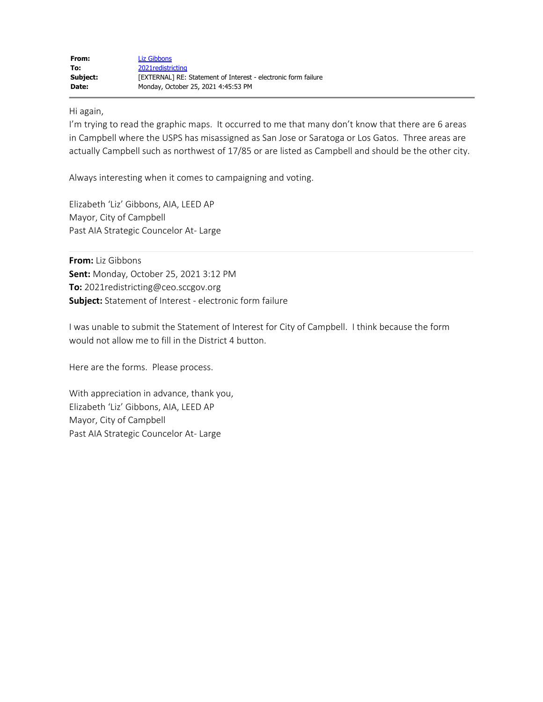Hi again,

I'm trying to read the graphic maps. It occurred to me that many don't know that there are 6 areas in Campbell where the USPS has misassigned as San Jose or Saratoga or Los Gatos. Three areas are actually Campbell such as northwest of 17/85 or are listed as Campbell and should be the other city.

Always interesting when it comes to campaigning and voting.

Elizabeth 'Liz' Gibbons, AIA, LEED AP Mayor, City of Campbell Past AIA Strategic Councelor At- Large

**From:** Liz Gibbons **Sent:** Monday, October 25, 2021 3:12 PM **To:** 2021redistricting@ceo.sccgov.org **Subject:** Statement of Interest - electronic form failure

I was unable to submit the Statement of Interest for City of Campbell. I think because the form would not allow me to fill in the District 4 button.

Here are the forms. Please process.

With appreciation in advance, thank you, Elizabeth 'Liz' Gibbons, AIA, LEED AP Mayor, City of Campbell Past AIA Strategic Councelor At- Large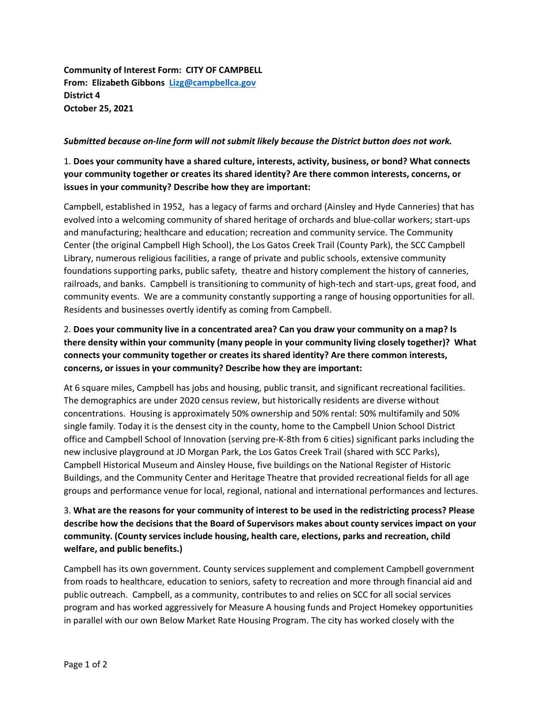**Community of Interest Form: CITY OF CAMPBELL From: Elizabeth Gibbons Lizg@campbellca.gov District 4 October 25, 2021** 

#### *Submitted because on-line form will not submit likely because the District button does not work.*

#### 1. **Does your community have a shared culture, interests, activity, business, or bond? What connects your community together or creates its shared identity? Are there common interests, concerns, or issues in your community? Describe how they are important:**

Campbell, established in 1952, has a legacy of farms and orchard (Ainsley and Hyde Canneries) that has evolved into a welcoming community of shared heritage of orchards and blue-collar workers; start-ups and manufacturing; healthcare and education; recreation and community service. The Community Center (the original Campbell High School), the Los Gatos Creek Trail (County Park), the SCC Campbell Library, numerous religious facilities, a range of private and public schools, extensive community foundations supporting parks, public safety, theatre and history complement the history of canneries, railroads, and banks. Campbell is transitioning to community of high-tech and start-ups, great food, and community events. We are a community constantly supporting a range of housing opportunities for all. Residents and businesses overtly identify as coming from Campbell.

## 2. **Does your community live in a concentrated area? Can you draw your community on a map? Is there density within your community (many people in your community living closely together)? What connects your community together or creates its shared identity? Are there common interests, concerns, or issues in your community? Describe how they are important:**

At 6 square miles, Campbell has jobs and housing, public transit, and significant recreational facilities. The demographics are under 2020 census review, but historically residents are diverse without concentrations. Housing is approximately 50% ownership and 50% rental: 50% multifamily and 50% single family. Today it is the densest city in the county, home to the Campbell Union School District office and Campbell School of Innovation (serving pre-K-8th from 6 cities) significant parks including the new inclusive playground at JD Morgan Park, the Los Gatos Creek Trail (shared with SCC Parks), Campbell Historical Museum and Ainsley House, five buildings on the National Register of Historic Buildings, and the Community Center and Heritage Theatre that provided recreational fields for all age groups and performance venue for local, regional, national and international performances and lectures.

### 3. **What are the reasons for your community of interest to be used in the redistricting process? Please describe how the decisions that the Board of Supervisors makes about county services impact on your community. (County services include housing, health care, elections, parks and recreation, child welfare, and public benefits.)**

Campbell has its own government. County services supplement and complement Campbell government from roads to healthcare, education to seniors, safety to recreation and more through financial aid and public outreach. Campbell, as a community, contributes to and relies on SCC for all social services program and has worked aggressively for Measure A housing funds and Project Homekey opportunities in parallel with our own Below Market Rate Housing Program. The city has worked closely with the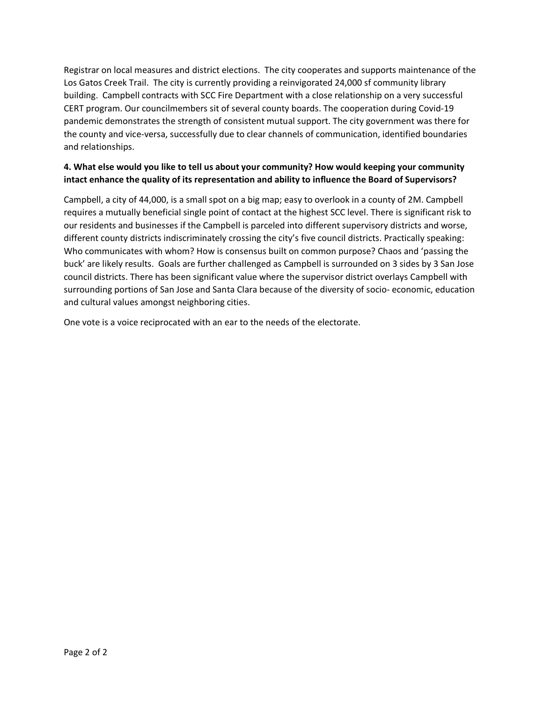Registrar on local measures and district elections. The city cooperates and supports maintenance of the Los Gatos Creek Trail. The city is currently providing a reinvigorated 24,000 sf community library building. Campbell contracts with SCC Fire Department with a close relationship on a very successful CERT program. Our councilmembers sit of several county boards. The cooperation during Covid-19 pandemic demonstrates the strength of consistent mutual support. The city government was there for the county and vice-versa, successfully due to clear channels of communication, identified boundaries and relationships.

#### **4. What else would you like to tell us about your community? How would keeping your community intact enhance the quality of its representation and ability to influence the Board of Supervisors?**

Campbell, a city of 44,000, is a small spot on a big map; easy to overlook in a county of 2M. Campbell requires a mutually beneficial single point of contact at the highest SCC level. There is significant risk to our residents and businesses if the Campbell is parceled into different supervisory districts and worse, different county districts indiscriminately crossing the city's five council districts. Practically speaking: Who communicates with whom? How is consensus built on common purpose? Chaos and 'passing the buck' are likely results. Goals are further challenged as Campbell is surrounded on 3 sides by 3 San Jose council districts. There has been significant value where the supervisor district overlays Campbell with surrounding portions of San Jose and Santa Clara because of the diversity of socio- economic, education and cultural values amongst neighboring cities.

One vote is a voice reciprocated with an ear to the needs of the electorate.